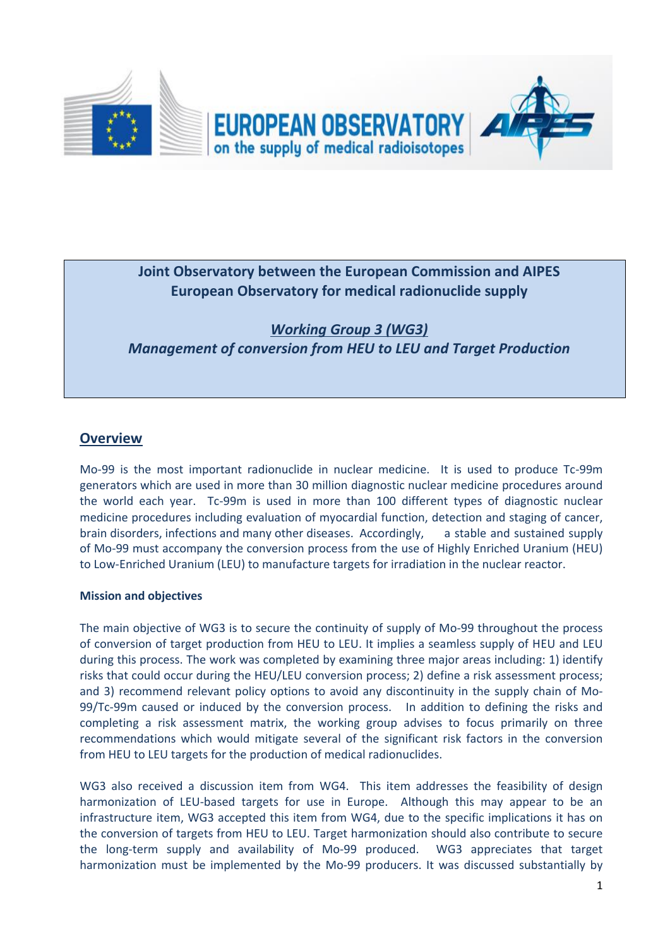

# **Joint Observatory between the European Commission and AIPES European Observatory for medical radionuclide supply**

*Working Group 3 (WG3) Management of conversion from HEU to LEU and Target Production*

# **Overview**

Mo-99 is the most important radionuclide in nuclear medicine. It is used to produce Tc-99m generators which are used in more than 30 million diagnostic nuclear medicine procedures around the world each year. Tc-99m is used in more than 100 different types of diagnostic nuclear medicine procedures including evaluation of myocardial function, detection and staging of cancer, brain disorders, infections and many other diseases. Accordingly, a stable and sustained supply of Mo-99 must accompany the conversion process from the use of Highly Enriched Uranium (HEU) to Low-Enriched Uranium (LEU) to manufacture targets for irradiation in the nuclear reactor.

### **Mission and objectives**

The main objective of WG3 is to secure the continuity of supply of Mo-99 throughout the process of conversion of target production from HEU to LEU. It implies a seamless supply of HEU and LEU during this process. The work was completed by examining three major areas including: 1) identify risks that could occur during the HEU/LEU conversion process; 2) define a risk assessment process; and 3) recommend relevant policy options to avoid any discontinuity in the supply chain of Mo-99/Tc-99m caused or induced by the conversion process. In addition to defining the risks and completing a risk assessment matrix, the working group advises to focus primarily on three recommendations which would mitigate several of the significant risk factors in the conversion from HEU to LEU targets for the production of medical radionuclides.

WG3 also received a discussion item from WG4. This item addresses the feasibility of design harmonization of LEU-based targets for use in Europe. Although this may appear to be an infrastructure item, WG3 accepted this item from WG4, due to the specific implications it has on the conversion of targets from HEU to LEU. Target harmonization should also contribute to secure the long-term supply and availability of Mo-99 produced. WG3 appreciates that target harmonization must be implemented by the Mo-99 producers. It was discussed substantially by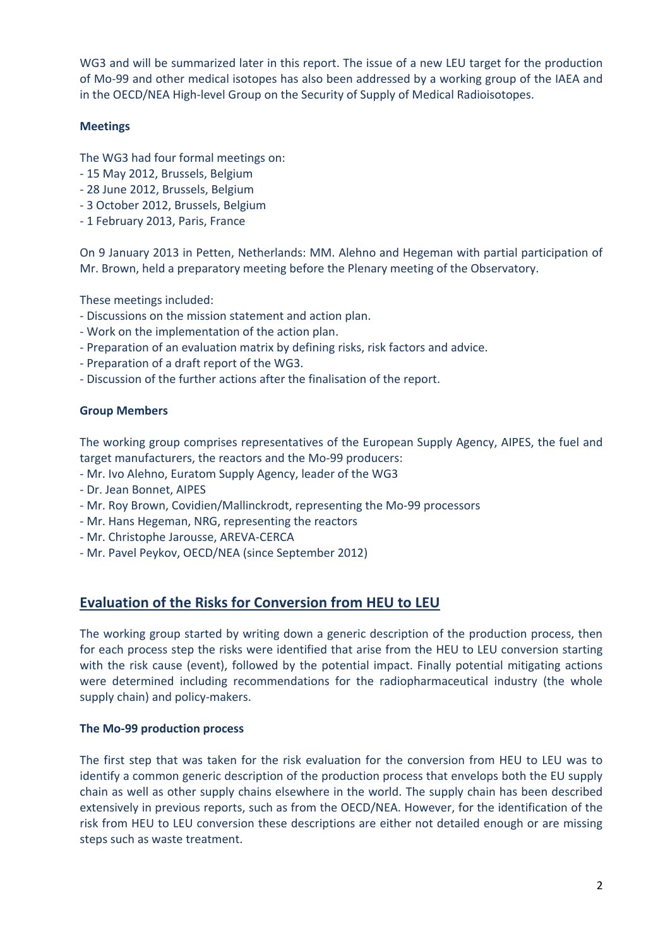WG3 and will be summarized later in this report. The issue of a new LEU target for the production of Mo-99 and other medical isotopes has also been addressed by a working group of the IAEA and in the OECD/NEA High-level Group on the Security of Supply of Medical Radioisotopes.

### **Meetings**

The WG3 had four formal meetings on:

- 15 May 2012, Brussels, Belgium
- 28 June 2012, Brussels, Belgium
- 3 October 2012, Brussels, Belgium
- 1 February 2013, Paris, France

On 9 January 2013 in Petten, Netherlands: MM. Alehno and Hegeman with partial participation of Mr. Brown, held a preparatory meeting before the Plenary meeting of the Observatory.

These meetings included:

- Discussions on the mission statement and action plan.
- Work on the implementation of the action plan.
- Preparation of an evaluation matrix by defining risks, risk factors and advice.
- Preparation of a draft report of the WG3.
- Discussion of the further actions after the finalisation of the report.

### **Group Members**

The working group comprises representatives of the European Supply Agency, AIPES, the fuel and target manufacturers, the reactors and the Mo-99 producers:

- Mr. Ivo Alehno, Euratom Supply Agency, leader of the WG3
- Dr. Jean Bonnet, AIPES
- Mr. Roy Brown, Covidien/Mallinckrodt, representing the Mo-99 processors
- Mr. Hans Hegeman, NRG, representing the reactors
- Mr. Christophe Jarousse, AREVA-CERCA
- Mr. Pavel Peykov, OECD/NEA (since September 2012)

### **Evaluation of the Risks for Conversion from HEU to LEU**

The working group started by writing down a generic description of the production process, then for each process step the risks were identified that arise from the HEU to LEU conversion starting with the risk cause (event), followed by the potential impact. Finally potential mitigating actions were determined including recommendations for the radiopharmaceutical industry (the whole supply chain) and policy-makers.

#### **The Mo-99 production process**

The first step that was taken for the risk evaluation for the conversion from HEU to LEU was to identify a common generic description of the production process that envelops both the EU supply chain as well as other supply chains elsewhere in the world. The supply chain has been described extensively in previous reports, such as from the OECD/NEA. However, for the identification of the risk from HEU to LEU conversion these descriptions are either not detailed enough or are missing steps such as waste treatment.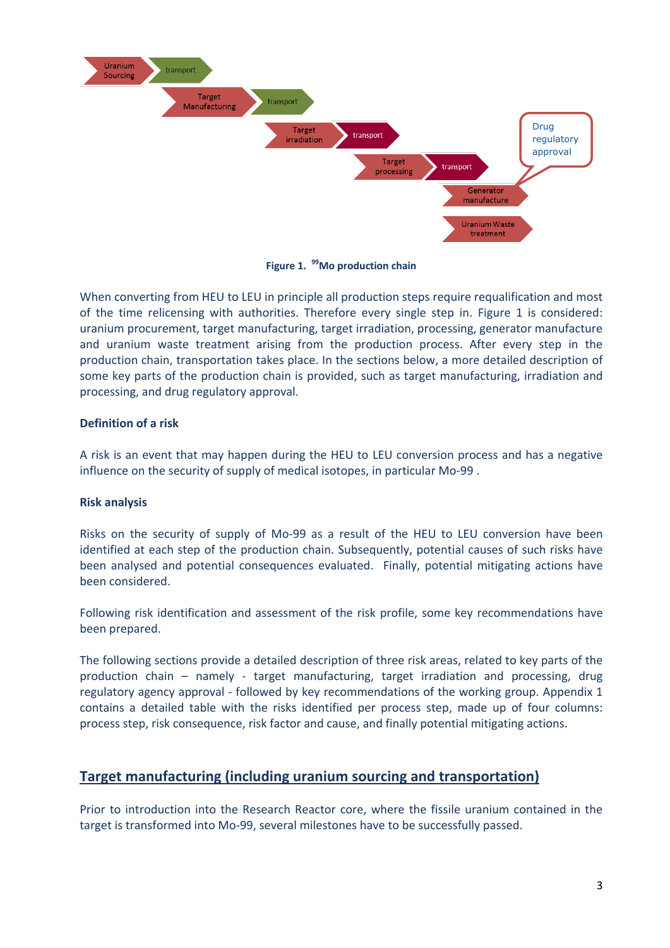

**Figure 1. <sup>99</sup>Mo production chain**

When converting from HEU to LEU in principle all production steps require requalification and most of the time relicensing with authorities. Therefore every single step in. Figure 1 is considered: uranium procurement, target manufacturing, target irradiation, processing, generator manufacture and uranium waste treatment arising from the production process. After every step in the production chain, transportation takes place. In the sections below, a more detailed description of some key parts of the production chain is provided, such as target manufacturing, irradiation and processing, and drug regulatory approval.

### **Definition of a risk**

A risk is an event that may happen during the HEU to LEU conversion process and has a negative influence on the security of supply of medical isotopes, in particular Mo-99 .

### **Risk analysis**

Risks on the security of supply of Mo-99 as a result of the HEU to LEU conversion have been identified at each step of the production chain. Subsequently, potential causes of such risks have been analysed and potential consequences evaluated. Finally, potential mitigating actions have been considered.

Following risk identification and assessment of the risk profile, some key recommendations have been prepared.

The following sections provide a detailed description of three risk areas, related to key parts of the production chain – namely - target manufacturing, target irradiation and processing, drug regulatory agency approval - followed by key recommendations of the working group. Appendix 1 contains a detailed table with the risks identified per process step, made up of four columns: process step, risk consequence, risk factor and cause, and finally potential mitigating actions.

# **Target manufacturing (including uranium sourcing and transportation)**

Prior to introduction into the Research Reactor core, where the fissile uranium contained in the target is transformed into Mo-99, several milestones have to be successfully passed.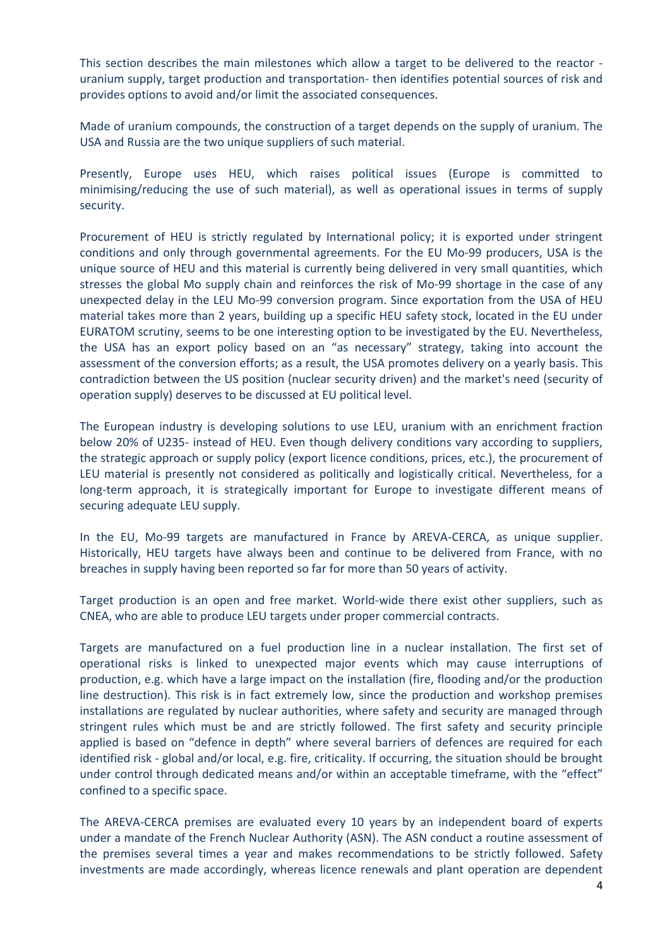This section describes the main milestones which allow a target to be delivered to the reactor uranium supply, target production and transportation- then identifies potential sources of risk and provides options to avoid and/or limit the associated consequences.

Made of uranium compounds, the construction of a target depends on the supply of uranium. The USA and Russia are the two unique suppliers of such material.

Presently, Europe uses HEU, which raises political issues (Europe is committed to minimising/reducing the use of such material), as well as operational issues in terms of supply security.

Procurement of HEU is strictly regulated by International policy; it is exported under stringent conditions and only through governmental agreements. For the EU Mo-99 producers, USA is the unique source of HEU and this material is currently being delivered in very small quantities, which stresses the global Mo supply chain and reinforces the risk of Mo-99 shortage in the case of any unexpected delay in the LEU Mo-99 conversion program. Since exportation from the USA of HEU material takes more than 2 years, building up a specific HEU safety stock, located in the EU under EURATOM scrutiny, seems to be one interesting option to be investigated by the EU. Nevertheless, the USA has an export policy based on an "as necessary" strategy, taking into account the assessment of the conversion efforts; as a result, the USA promotes delivery on a yearly basis. This contradiction between the US position (nuclear security driven) and the market's need (security of operation supply) deserves to be discussed at EU political level.

The European industry is developing solutions to use LEU, uranium with an enrichment fraction below 20% of U235- instead of HEU. Even though delivery conditions vary according to suppliers, the strategic approach or supply policy (export licence conditions, prices, etc.), the procurement of LEU material is presently not considered as politically and logistically critical. Nevertheless, for a long-term approach, it is strategically important for Europe to investigate different means of securing adequate LEU supply.

In the EU, Mo-99 targets are manufactured in France by AREVA-CERCA, as unique supplier. Historically, HEU targets have always been and continue to be delivered from France, with no breaches in supply having been reported so far for more than 50 years of activity.

Target production is an open and free market. World-wide there exist other suppliers, such as CNEA, who are able to produce LEU targets under proper commercial contracts.

Targets are manufactured on a fuel production line in a nuclear installation. The first set of operational risks is linked to unexpected major events which may cause interruptions of production, e.g. which have a large impact on the installation (fire, flooding and/or the production line destruction). This risk is in fact extremely low, since the production and workshop premises installations are regulated by nuclear authorities, where safety and security are managed through stringent rules which must be and are strictly followed. The first safety and security principle applied is based on "defence in depth" where several barriers of defences are required for each identified risk - global and/or local, e.g. fire, criticality. If occurring, the situation should be brought under control through dedicated means and/or within an acceptable timeframe, with the "effect" confined to a specific space.

The AREVA-CERCA premises are evaluated every 10 years by an independent board of experts under a mandate of the French Nuclear Authority (ASN). The ASN conduct a routine assessment of the premises several times a year and makes recommendations to be strictly followed. Safety investments are made accordingly, whereas licence renewals and plant operation are dependent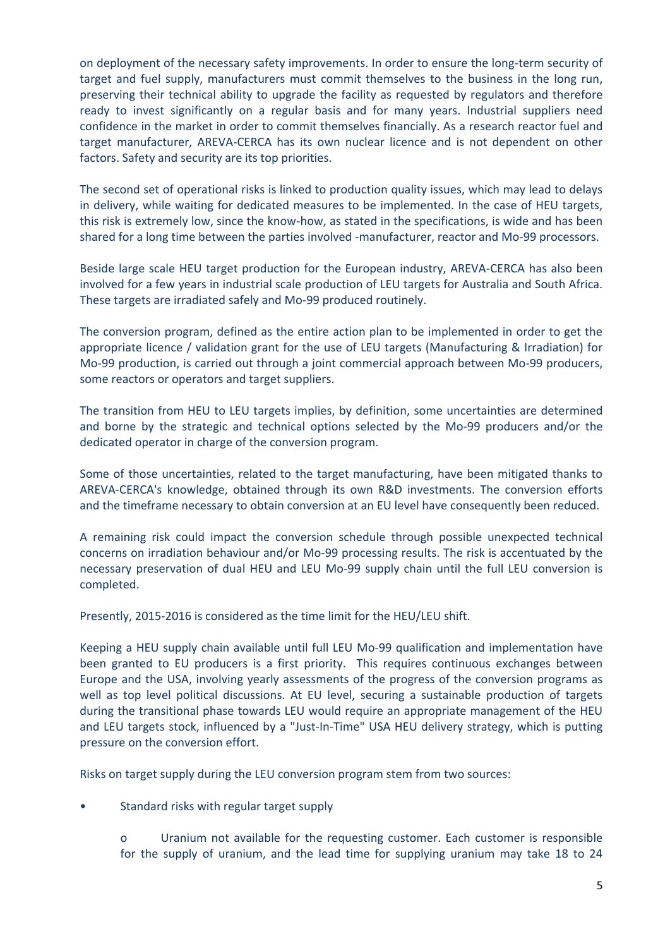on deployment of the necessary safety improvements. In order to ensure the long-term security of target and fuel supply, manufacturers must commit themselves to the business in the long run, preserving their technical ability to upgrade the facility as requested by regulators and therefore ready to invest significantly on a regular basis and for many years. Industrial suppliers need confidence in the market in order to commit themselves financially. As a research reactor fuel and target manufacturer, AREVA-CERCA has its own nuclear licence and is not dependent on other factors. Safety and security are its top priorities.

The second set of operational risks is linked to production quality issues, which may lead to delays in delivery, while waiting for dedicated measures to be implemented. In the case of HEU targets, this risk is extremely low, since the know-how, as stated in the specifications, is wide and has been shared for a long time between the parties involved -manufacturer, reactor and Mo-99 processors.

Beside large scale HEU target production for the European industry, AREVA-CERCA has also been involved for a few years in industrial scale production of LEU targets for Australia and South Africa. These targets are irradiated safely and Mo-99 produced routinely.

The conversion program, defined as the entire action plan to be implemented in order to get the appropriate licence / validation grant for the use of LEU targets (Manufacturing & Irradiation) for Mo-99 production, is carried out through a joint commercial approach between Mo-99 producers, some reactors or operators and target suppliers.

The transition from HEU to LEU targets implies, by definition, some uncertainties are determined and borne by the strategic and technical options selected by the Mo-99 producers and/or the dedicated operator in charge of the conversion program.

Some of those uncertainties, related to the target manufacturing, have been mitigated thanks to AREVA-CERCA's knowledge, obtained through its own R&D investments. The conversion efforts and the timeframe necessary to obtain conversion at an EU level have consequently been reduced.

A remaining risk could impact the conversion schedule through possible unexpected technical concerns on irradiation behaviour and/or Mo-99 processing results. The risk is accentuated by the necessary preservation of dual HEU and LEU Mo-99 supply chain until the full LEU conversion is completed.

Presently, 2015-2016 is considered as the time limit for the HEU/LEU shift.

Keeping a HEU supply chain available until full LEU Mo-99 qualification and implementation have been granted to EU producers is a first priority. This requires continuous exchanges between Europe and the USA, involving yearly assessments of the progress of the conversion programs as well as top level political discussions. At EU level, securing a sustainable production of targets during the transitional phase towards LEU would require an appropriate management of the HEU and LEU targets stock, influenced by a "Just-In-Time" USA HEU delivery strategy, which is putting pressure on the conversion effort.

Risks on target supply during the LEU conversion program stem from two sources:

- Standard risks with regular target supply
	- o Uranium not available for the requesting customer. Each customer is responsible for the supply of uranium, and the lead time for supplying uranium may take 18 to 24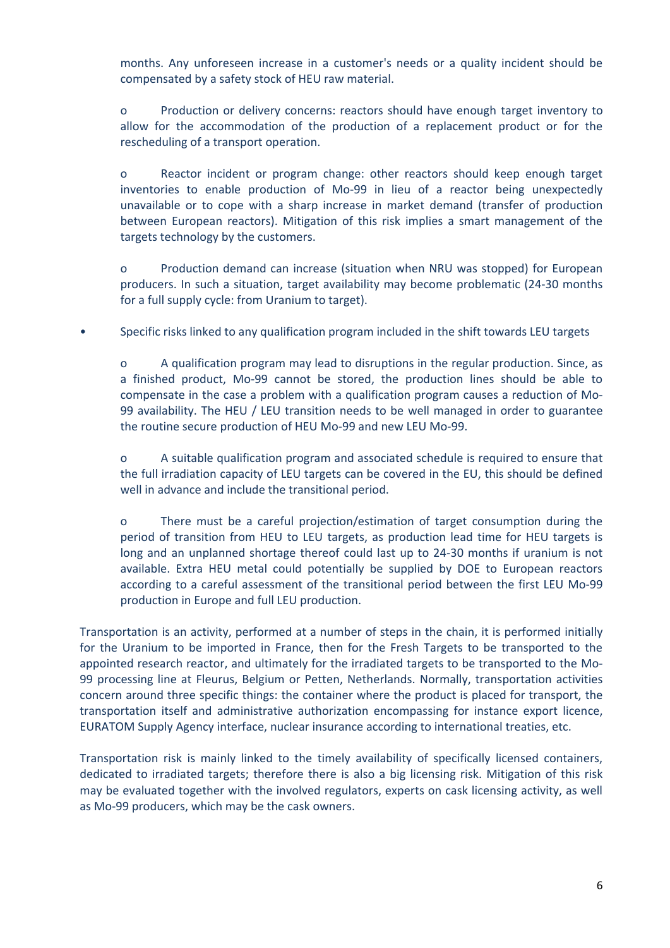months. Any unforeseen increase in a customer's needs or a quality incident should be compensated by a safety stock of HEU raw material.

o Production or delivery concerns: reactors should have enough target inventory to allow for the accommodation of the production of a replacement product or for the rescheduling of a transport operation.

o Reactor incident or program change: other reactors should keep enough target inventories to enable production of Mo-99 in lieu of a reactor being unexpectedly unavailable or to cope with a sharp increase in market demand (transfer of production between European reactors). Mitigation of this risk implies a smart management of the targets technology by the customers.

o Production demand can increase (situation when NRU was stopped) for European producers. In such a situation, target availability may become problematic (24-30 months for a full supply cycle: from Uranium to target).

• Specific risks linked to any qualification program included in the shift towards LEU targets

o A qualification program may lead to disruptions in the regular production. Since, as a finished product, Mo-99 cannot be stored, the production lines should be able to compensate in the case a problem with a qualification program causes a reduction of Mo-99 availability. The HEU / LEU transition needs to be well managed in order to guarantee the routine secure production of HEU Mo-99 and new LEU Mo-99.

o A suitable qualification program and associated schedule is required to ensure that the full irradiation capacity of LEU targets can be covered in the EU, this should be defined well in advance and include the transitional period.

o There must be a careful projection/estimation of target consumption during the period of transition from HEU to LEU targets, as production lead time for HEU targets is long and an unplanned shortage thereof could last up to 24-30 months if uranium is not available. Extra HEU metal could potentially be supplied by DOE to European reactors according to a careful assessment of the transitional period between the first LEU Mo-99 production in Europe and full LEU production.

Transportation is an activity, performed at a number of steps in the chain, it is performed initially for the Uranium to be imported in France, then for the Fresh Targets to be transported to the appointed research reactor, and ultimately for the irradiated targets to be transported to the Mo-99 processing line at Fleurus, Belgium or Petten, Netherlands. Normally, transportation activities concern around three specific things: the container where the product is placed for transport, the transportation itself and administrative authorization encompassing for instance export licence, EURATOM Supply Agency interface, nuclear insurance according to international treaties, etc.

Transportation risk is mainly linked to the timely availability of specifically licensed containers, dedicated to irradiated targets; therefore there is also a big licensing risk. Mitigation of this risk may be evaluated together with the involved regulators, experts on cask licensing activity, as well as Mo-99 producers, which may be the cask owners.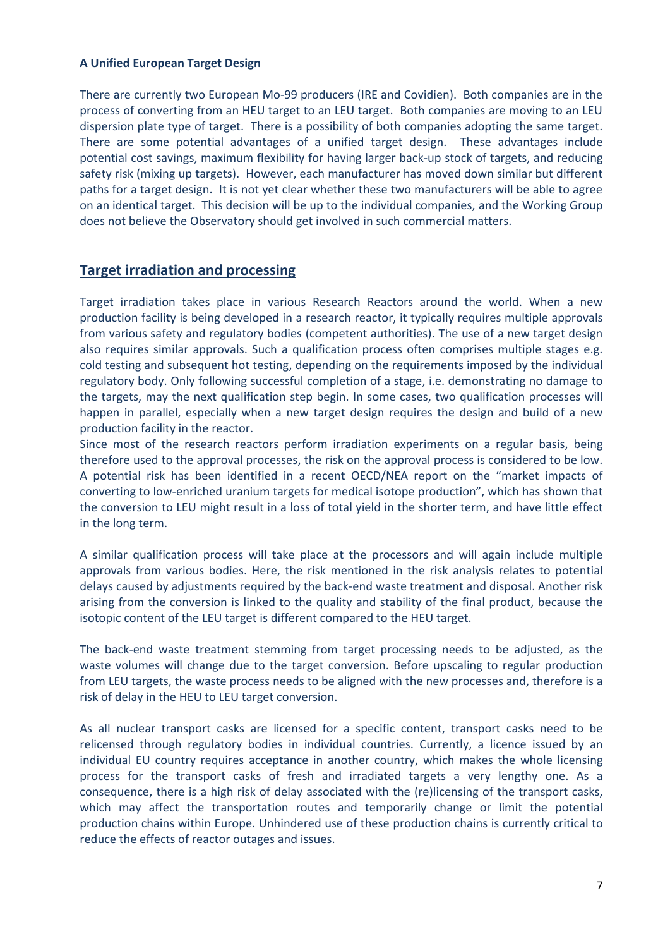### **A Unified European Target Design**

There are currently two European Mo-99 producers (IRE and Covidien). Both companies are in the process of converting from an HEU target to an LEU target. Both companies are moving to an LEU dispersion plate type of target. There is a possibility of both companies adopting the same target. There are some potential advantages of a unified target design. These advantages include potential cost savings, maximum flexibility for having larger back-up stock of targets, and reducing safety risk (mixing up targets). However, each manufacturer has moved down similar but different paths for a target design. It is not yet clear whether these two manufacturers will be able to agree on an identical target. This decision will be up to the individual companies, and the Working Group does not believe the Observatory should get involved in such commercial matters.

### **Target irradiation and processing**

Target irradiation takes place in various Research Reactors around the world. When a new production facility is being developed in a research reactor, it typically requires multiple approvals from various safety and regulatory bodies (competent authorities). The use of a new target design also requires similar approvals. Such a qualification process often comprises multiple stages e.g. cold testing and subsequent hot testing, depending on the requirements imposed by the individual regulatory body. Only following successful completion of a stage, i.e. demonstrating no damage to the targets, may the next qualification step begin. In some cases, two qualification processes will happen in parallel, especially when a new target design requires the design and build of a new production facility in the reactor.

Since most of the research reactors perform irradiation experiments on a regular basis, being therefore used to the approval processes, the risk on the approval process is considered to be low. A potential risk has been identified in a recent OECD/NEA report on the "market impacts of converting to low-enriched uranium targets for medical isotope production", which has shown that the conversion to LEU might result in a loss of total yield in the shorter term, and have little effect in the long term.

A similar qualification process will take place at the processors and will again include multiple approvals from various bodies. Here, the risk mentioned in the risk analysis relates to potential delays caused by adjustments required by the back-end waste treatment and disposal. Another risk arising from the conversion is linked to the quality and stability of the final product, because the isotopic content of the LEU target is different compared to the HEU target.

The back-end waste treatment stemming from target processing needs to be adjusted, as the waste volumes will change due to the target conversion. Before upscaling to regular production from LEU targets, the waste process needs to be aligned with the new processes and, therefore is a risk of delay in the HEU to LEU target conversion.

As all nuclear transport casks are licensed for a specific content, transport casks need to be relicensed through regulatory bodies in individual countries. Currently, a licence issued by an individual EU country requires acceptance in another country, which makes the whole licensing process for the transport casks of fresh and irradiated targets a very lengthy one. As a consequence, there is a high risk of delay associated with the (re)licensing of the transport casks, which may affect the transportation routes and temporarily change or limit the potential production chains within Europe. Unhindered use of these production chains is currently critical to reduce the effects of reactor outages and issues.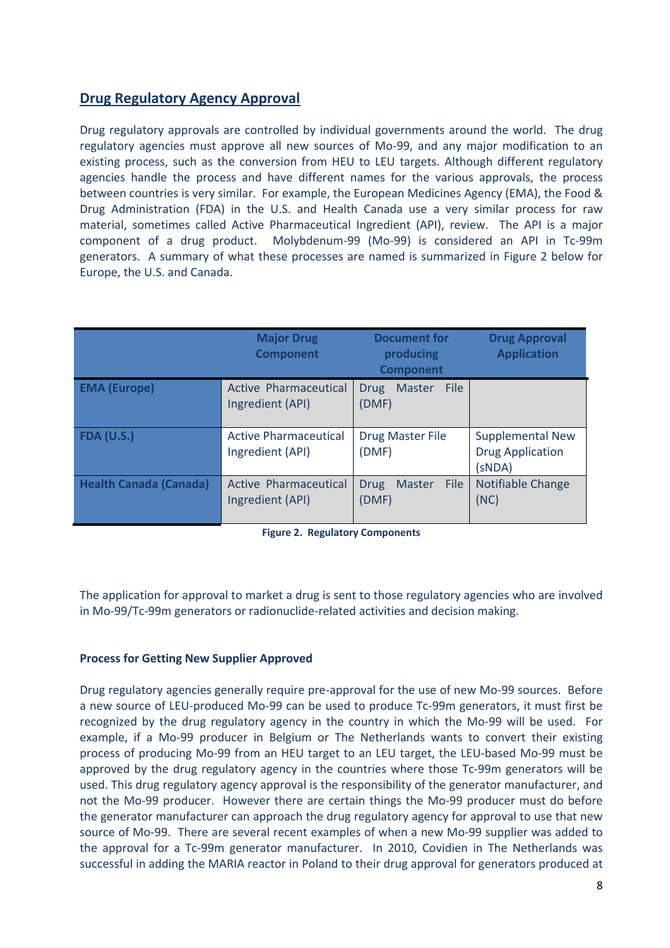# **Drug Regulatory Agency Approval**

Drug regulatory approvals are controlled by individual governments around the world. The drug regulatory agencies must approve all new sources of Mo-99, and any major modification to an existing process, such as the conversion from HEU to LEU targets. Although different regulatory agencies handle the process and have different names for the various approvals, the process between countries is very similar. For example, the European Medicines Agency (EMA), the Food & Drug Administration (FDA) in the U.S. and Health Canada use a very similar process for raw material, sometimes called Active Pharmaceutical Ingredient (API), review. The API is a major component of a drug product. Molybdenum-99 (Mo-99) is considered an API in Tc-99m generators. A summary of what these processes are named is summarized in Figure 2 below for Europe, the U.S. and Canada.

|                               | <b>Major Drug</b><br><b>Component</b>            | <b>Document for</b><br>producing<br><b>Component</b> | <b>Drug Approval</b><br><b>Application</b>                   |
|-------------------------------|--------------------------------------------------|------------------------------------------------------|--------------------------------------------------------------|
| <b>EMA (Europe)</b>           | <b>Active Pharmaceutical</b><br>Ingredient (API) | File<br><b>Master</b><br><b>Drug</b><br>(DMF)        |                                                              |
| <b>FDA (U.S.)</b>             | <b>Active Pharmaceutical</b><br>Ingredient (API) | <b>Drug Master File</b><br>(DMF)                     | <b>Supplemental New</b><br><b>Drug Application</b><br>(SNDA) |
| <b>Health Canada (Canada)</b> | <b>Active Pharmaceutical</b><br>Ingredient (API) | File<br><b>Master</b><br><b>Drug</b><br>(DMF)        | Notifiable Change<br>(NC)                                    |

**Figure 2. Regulatory Components**

The application for approval to market a drug is sent to those regulatory agencies who are involved in Mo-99/Tc-99m generators or radionuclide-related activities and decision making.

### **Process for Getting New Supplier Approved**

Drug regulatory agencies generally require pre-approval for the use of new Mo-99 sources. Before a new source of LEU-produced Mo-99 can be used to produce Tc-99m generators, it must first be recognized by the drug regulatory agency in the country in which the Mo-99 will be used. For example, if a Mo-99 producer in Belgium or The Netherlands wants to convert their existing process of producing Mo-99 from an HEU target to an LEU target, the LEU-based Mo-99 must be approved by the drug regulatory agency in the countries where those Tc-99m generators will be used. This drug regulatory agency approval is the responsibility of the generator manufacturer, and not the Mo-99 producer. However there are certain things the Mo-99 producer must do before the generator manufacturer can approach the drug regulatory agency for approval to use that new source of Mo-99. There are several recent examples of when a new Mo-99 supplier was added to the approval for a Tc-99m generator manufacturer. In 2010, Covidien in The Netherlands was successful in adding the MARIA reactor in Poland to their drug approval for generators produced at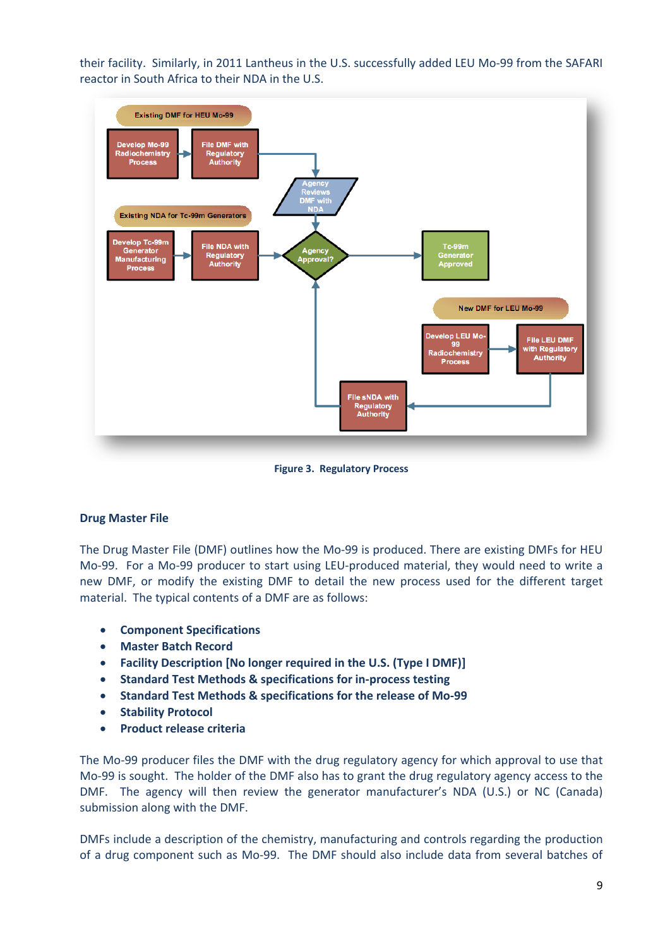their facility. Similarly, in 2011 Lantheus in the U.S. successfully added LEU Mo-99 from the SAFARI reactor in South Africa to their NDA in the U.S.



**Figure 3. Regulatory Process**

### **Drug Master File**

The Drug Master File (DMF) outlines how the Mo-99 is produced. There are existing DMFs for HEU Mo-99. For a Mo-99 producer to start using LEU-produced material, they would need to write a new DMF, or modify the existing DMF to detail the new process used for the different target material. The typical contents of a DMF are as follows:

- **•** Component Specifications
- **Master Batch Record**
- **Facility Description [No longer required in the U.S. (Type I DMF)]**
- **•** Standard Test Methods & specifications for in-process testing
- **Standard Test Methods & specifications for the release of Mo-99**
- **•** Stability Protocol
- **Product release criteria**

The Mo-99 producer files the DMF with the drug regulatory agency for which approval to use that Mo-99 is sought. The holder of the DMF also has to grant the drug regulatory agency access to the DMF. The agency will then review the generator manufacturer's NDA (U.S.) or NC (Canada) submission along with the DMF.

DMFs include a description of the chemistry, manufacturing and controls regarding the production of a drug component such as Mo-99. The DMF should also include data from several batches of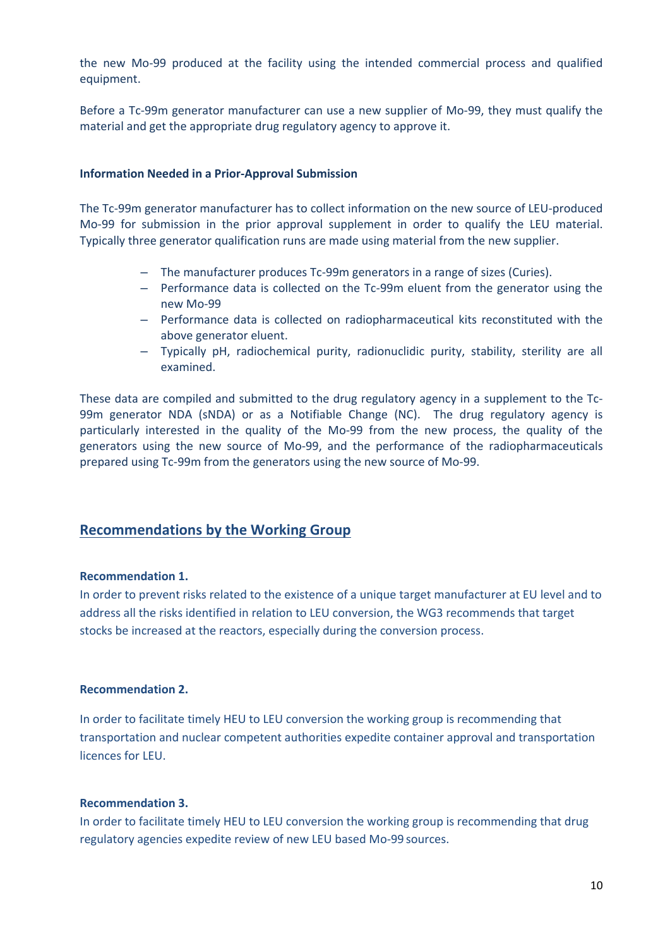the new Mo-99 produced at the facility using the intended commercial process and qualified equipment.

Before a Tc-99m generator manufacturer can use a new supplier of Mo-99, they must qualify the material and get the appropriate drug regulatory agency to approve it.

#### **Information Needed in a Prior-Approval Submission**

The Tc-99m generator manufacturer has to collect information on the new source of LEU-produced Mo-99 for submission in the prior approval supplement in order to qualify the LEU material. Typically three generator qualification runs are made using material from the new supplier.

- The manufacturer produces Tc-99m generators in a range of sizes (Curies).
- Performance data is collected on the Tc-99m eluent from the generator using the new Mo-99
- Performance data is collected on radiopharmaceutical kits reconstituted with the above generator eluent.
- Typically pH, radiochemical purity, radionuclidic purity, stability, sterility are all examined.

These data are compiled and submitted to the drug regulatory agency in a supplement to the Tc-99m generator NDA (sNDA) or as a Notifiable Change (NC). The drug regulatory agency is particularly interested in the quality of the Mo-99 from the new process, the quality of the generators using the new source of Mo-99, and the performance of the radiopharmaceuticals prepared using Tc-99m from the generators using the new source of Mo-99.

### **Recommendations by the Working Group**

#### **Recommendation 1.**

In order to prevent risks related to the existence of a unique target manufacturer at EU level and to address all the risks identified in relation to LEU conversion, the WG3 recommends that target stocks be increased at the reactors, especially during the conversion process.

### **Recommendation 2.**

In order to facilitate timely HEU to LEU conversion the working group is recommending that transportation and nuclear competent authorities expedite container approval and transportation licences for LEU.

#### **Recommendation 3.**

In order to facilitate timely HEU to LEU conversion the working group is recommending that drug regulatory agencies expedite review of new LEU based Mo-99 sources.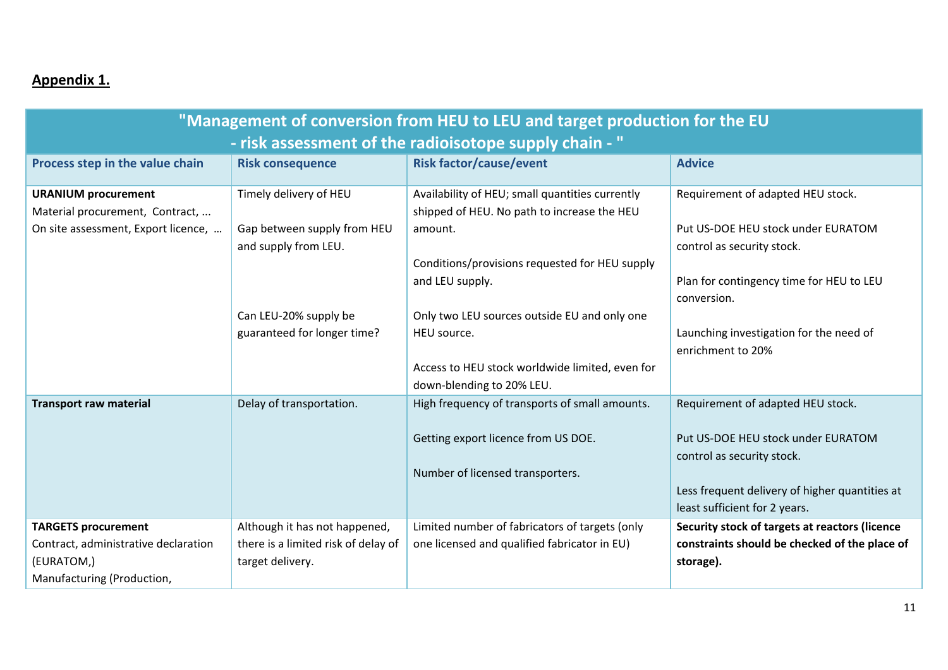# **Appendix 1.**

| "Management of conversion from HEU to LEU and target production for the EU |                                                      |                                                                                                |                                                                  |
|----------------------------------------------------------------------------|------------------------------------------------------|------------------------------------------------------------------------------------------------|------------------------------------------------------------------|
| - risk assessment of the radioisotope supply chain - "                     |                                                      |                                                                                                |                                                                  |
| Process step in the value chain                                            | <b>Risk consequence</b>                              | <b>Risk factor/cause/event</b>                                                                 | <b>Advice</b>                                                    |
| <b>URANIUM procurement</b><br>Material procurement, Contract,              | Timely delivery of HEU                               | Availability of HEU; small quantities currently<br>shipped of HEU. No path to increase the HEU | Requirement of adapted HEU stock.                                |
| On site assessment, Export licence,                                        | Gap between supply from HEU<br>and supply from LEU.  | amount.<br>Conditions/provisions requested for HEU supply                                      | Put US-DOE HEU stock under EURATOM<br>control as security stock. |
|                                                                            |                                                      | and LEU supply.                                                                                | Plan for contingency time for HEU to LEU<br>conversion.          |
|                                                                            | Can LEU-20% supply be<br>guaranteed for longer time? | Only two LEU sources outside EU and only one<br>HEU source.                                    | Launching investigation for the need of                          |
|                                                                            |                                                      |                                                                                                | enrichment to 20%                                                |
|                                                                            |                                                      | Access to HEU stock worldwide limited, even for<br>down-blending to 20% LEU.                   |                                                                  |
| <b>Transport raw material</b>                                              | Delay of transportation.                             | High frequency of transports of small amounts.                                                 | Requirement of adapted HEU stock.                                |
|                                                                            |                                                      | Getting export licence from US DOE.                                                            | Put US-DOE HEU stock under EURATOM<br>control as security stock. |
|                                                                            |                                                      | Number of licensed transporters.                                                               | Less frequent delivery of higher quantities at                   |
|                                                                            |                                                      |                                                                                                | least sufficient for 2 years.                                    |
| <b>TARGETS procurement</b>                                                 | Although it has not happened,                        | Limited number of fabricators of targets (only                                                 | Security stock of targets at reactors (licence                   |
| Contract, administrative declaration                                       | there is a limited risk of delay of                  | one licensed and qualified fabricator in EU)                                                   | constraints should be checked of the place of                    |
| (EURATOM,)                                                                 | target delivery.                                     |                                                                                                | storage).                                                        |
| Manufacturing (Production,                                                 |                                                      |                                                                                                |                                                                  |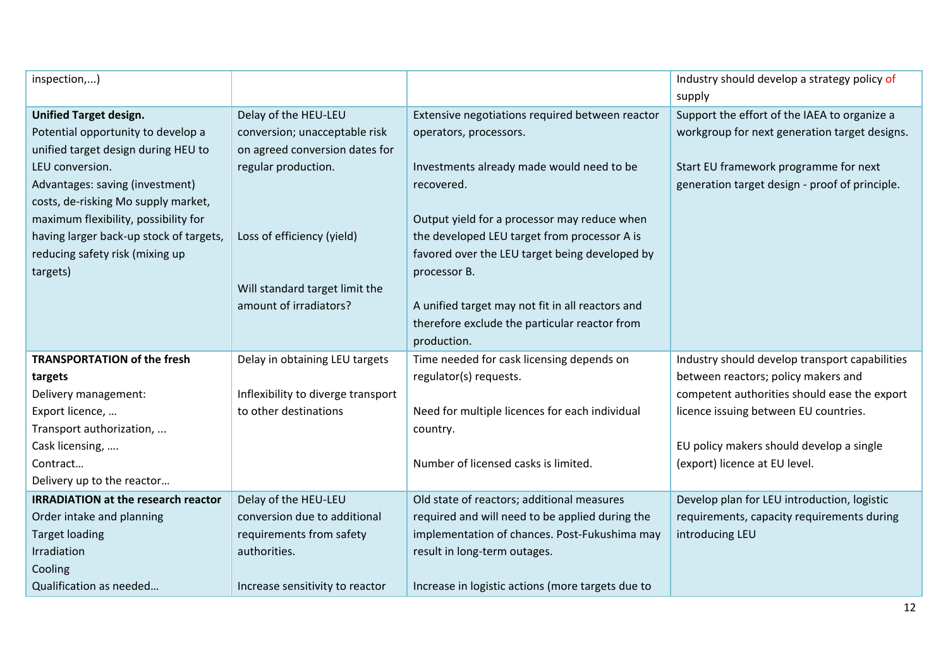| inspection,)                               |                                    |                                                   | Industry should develop a strategy policy of   |
|--------------------------------------------|------------------------------------|---------------------------------------------------|------------------------------------------------|
|                                            |                                    |                                                   | supply                                         |
| <b>Unified Target design.</b>              | Delay of the HEU-LEU               | Extensive negotiations required between reactor   | Support the effort of the IAEA to organize a   |
| Potential opportunity to develop a         | conversion; unacceptable risk      | operators, processors.                            | workgroup for next generation target designs.  |
| unified target design during HEU to        | on agreed conversion dates for     |                                                   |                                                |
| LEU conversion.                            | regular production.                | Investments already made would need to be         | Start EU framework programme for next          |
| Advantages: saving (investment)            |                                    | recovered.                                        | generation target design - proof of principle. |
| costs, de-risking Mo supply market,        |                                    |                                                   |                                                |
| maximum flexibility, possibility for       |                                    | Output yield for a processor may reduce when      |                                                |
| having larger back-up stock of targets,    | Loss of efficiency (yield)         | the developed LEU target from processor A is      |                                                |
| reducing safety risk (mixing up            |                                    | favored over the LEU target being developed by    |                                                |
| targets)                                   |                                    | processor B.                                      |                                                |
|                                            | Will standard target limit the     |                                                   |                                                |
|                                            | amount of irradiators?             | A unified target may not fit in all reactors and  |                                                |
|                                            |                                    | therefore exclude the particular reactor from     |                                                |
|                                            |                                    | production.                                       |                                                |
| <b>TRANSPORTATION of the fresh</b>         | Delay in obtaining LEU targets     | Time needed for cask licensing depends on         | Industry should develop transport capabilities |
| targets                                    |                                    | regulator(s) requests.                            | between reactors; policy makers and            |
| Delivery management:                       | Inflexibility to diverge transport |                                                   | competent authorities should ease the export   |
| Export licence,                            | to other destinations              | Need for multiple licences for each individual    | licence issuing between EU countries.          |
| Transport authorization,                   |                                    | country.                                          |                                                |
| Cask licensing,                            |                                    |                                                   | EU policy makers should develop a single       |
| Contract                                   |                                    | Number of licensed casks is limited.              | (export) licence at EU level.                  |
| Delivery up to the reactor                 |                                    |                                                   |                                                |
| <b>IRRADIATION at the research reactor</b> | Delay of the HEU-LEU               | Old state of reactors; additional measures        | Develop plan for LEU introduction, logistic    |
| Order intake and planning                  | conversion due to additional       | required and will need to be applied during the   | requirements, capacity requirements during     |
| <b>Target loading</b>                      | requirements from safety           | implementation of chances. Post-Fukushima may     | introducing LEU                                |
| Irradiation                                | authorities.                       | result in long-term outages.                      |                                                |
| Cooling                                    |                                    |                                                   |                                                |
| Qualification as needed                    | Increase sensitivity to reactor    | Increase in logistic actions (more targets due to |                                                |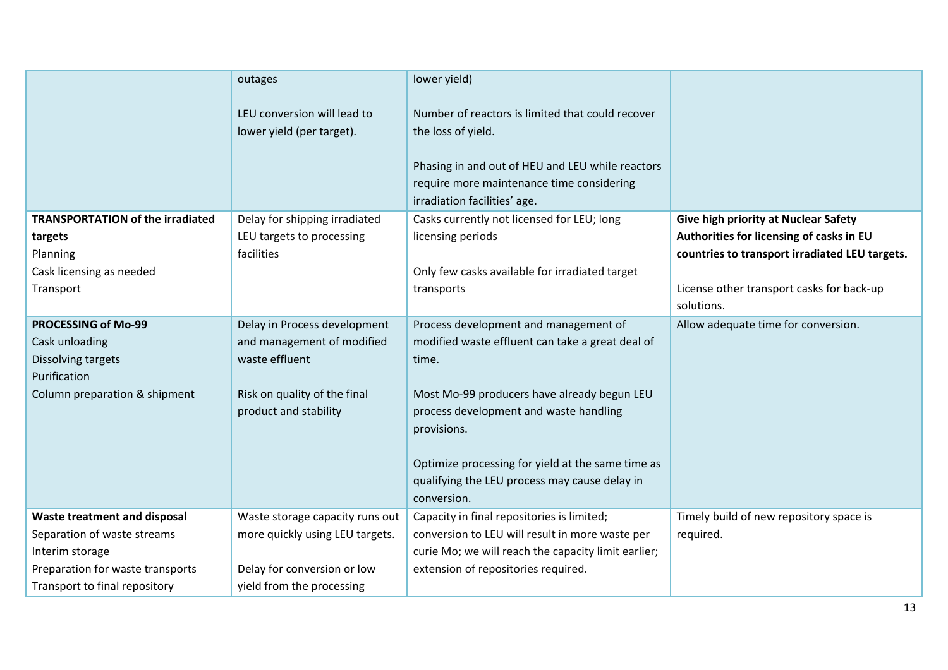|                                                                                                                     | outages                                                                                                                               | lower yield)                                                                                                                                                                                                                                                                                                                    |                                                         |
|---------------------------------------------------------------------------------------------------------------------|---------------------------------------------------------------------------------------------------------------------------------------|---------------------------------------------------------------------------------------------------------------------------------------------------------------------------------------------------------------------------------------------------------------------------------------------------------------------------------|---------------------------------------------------------|
|                                                                                                                     | LEU conversion will lead to<br>lower yield (per target).                                                                              | Number of reactors is limited that could recover<br>the loss of yield.<br>Phasing in and out of HEU and LEU while reactors<br>require more maintenance time considering<br>irradiation facilities' age.                                                                                                                         |                                                         |
| <b>TRANSPORTATION of the irradiated</b>                                                                             | Delay for shipping irradiated                                                                                                         | Casks currently not licensed for LEU; long                                                                                                                                                                                                                                                                                      | Give high priority at Nuclear Safety                    |
| targets                                                                                                             | LEU targets to processing                                                                                                             | licensing periods                                                                                                                                                                                                                                                                                                               | Authorities for licensing of casks in EU                |
| Planning                                                                                                            | facilities                                                                                                                            |                                                                                                                                                                                                                                                                                                                                 | countries to transport irradiated LEU targets.          |
| Cask licensing as needed                                                                                            |                                                                                                                                       | Only few casks available for irradiated target                                                                                                                                                                                                                                                                                  |                                                         |
| Transport                                                                                                           |                                                                                                                                       | transports                                                                                                                                                                                                                                                                                                                      | License other transport casks for back-up<br>solutions. |
| <b>PROCESSING of Mo-99</b><br>Cask unloading<br>Dissolving targets<br>Purification<br>Column preparation & shipment | Delay in Process development<br>and management of modified<br>waste effluent<br>Risk on quality of the final<br>product and stability | Process development and management of<br>modified waste effluent can take a great deal of<br>time.<br>Most Mo-99 producers have already begun LEU<br>process development and waste handling<br>provisions.<br>Optimize processing for yield at the same time as<br>qualifying the LEU process may cause delay in<br>conversion. | Allow adequate time for conversion.                     |
| Waste treatment and disposal                                                                                        | Waste storage capacity runs out                                                                                                       | Capacity in final repositories is limited;                                                                                                                                                                                                                                                                                      | Timely build of new repository space is                 |
| Separation of waste streams                                                                                         | more quickly using LEU targets.                                                                                                       | conversion to LEU will result in more waste per                                                                                                                                                                                                                                                                                 | required.                                               |
| Interim storage                                                                                                     |                                                                                                                                       | curie Mo; we will reach the capacity limit earlier;                                                                                                                                                                                                                                                                             |                                                         |
| Preparation for waste transports                                                                                    | Delay for conversion or low                                                                                                           | extension of repositories required.                                                                                                                                                                                                                                                                                             |                                                         |
| Transport to final repository                                                                                       | yield from the processing                                                                                                             |                                                                                                                                                                                                                                                                                                                                 |                                                         |